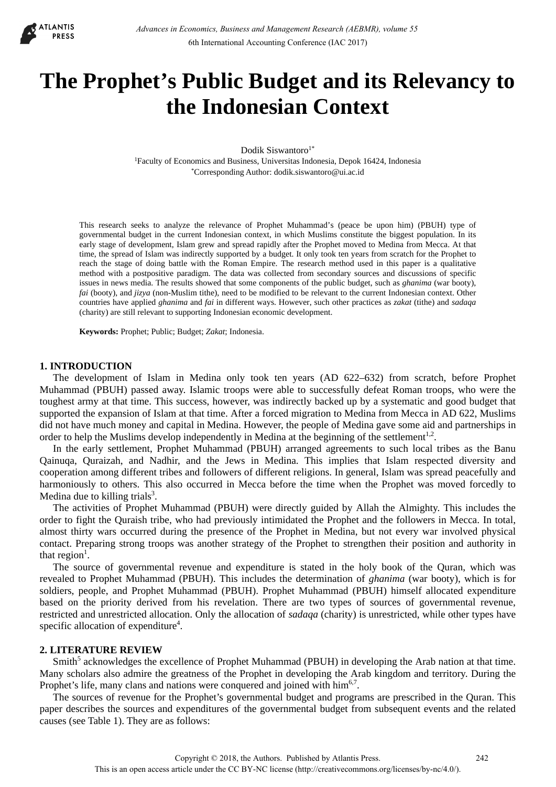

# **The Prophet's Public Budget and its Relevancy to the Indonesian Context**

Dodik Siswantoro $1^*$ 1Faculty of Economics and Business, Universitas Indonesia, Depok 16424, Indonesia \*Corresponding Author: dodik.siswantoro@ui.ac.id

This research seeks to analyze the relevance of Prophet Muhammad's (peace be upon him) (PBUH) type of governmental budget in the current Indonesian context, in which Muslims constitute the biggest population. In its early stage of development, Islam grew and spread rapidly after the Prophet moved to Medina from Mecca. At that time, the spread of Islam was indirectly supported by a budget. It only took ten years from scratch for the Prophet to reach the stage of doing battle with the Roman Empire. The research method used in this paper is a qualitative method with a postpositive paradigm. The data was collected from secondary sources and discussions of specific issues in news media. The results showed that some components of the public budget, such as *ghanima* (war booty), *fai* (booty), and *jizya* (non-Muslim tithe), need to be modified to be relevant to the current Indonesian context. Other countries have applied *ghanima* and *fai* in different ways. However, such other practices as *zakat* (tithe) and *sadaqa* (charity) are still relevant to supporting Indonesian economic development.

**Keywords:** Prophet; Public; Budget; *Zakat*; Indonesia.

# **1. INTRODUCTION**

The development of Islam in Medina only took ten years (AD 622–632) from scratch, before Prophet Muhammad (PBUH) passed away. Islamic troops were able to successfully defeat Roman troops, who were the toughest army at that time. This success, however, was indirectly backed up by a systematic and good budget that supported the expansion of Islam at that time. After a forced migration to Medina from Mecca in AD 622, Muslims did not have much money and capital in Medina. However, the people of Medina gave some aid and partnerships in order to help the Muslims develop independently in Medina at the beginning of the settlement<sup>1,2</sup>.

In the early settlement, Prophet Muhammad (PBUH) arranged agreements to such local tribes as the Banu Qainuqa, Quraizah, and Nadhir, and the Jews in Medina. This implies that Islam respected diversity and cooperation among different tribes and followers of different religions. In general, Islam was spread peacefully and harmoniously to others. This also occurred in Mecca before the time when the Prophet was moved forcedly to Medina due to killing trials $3$ .

The activities of Prophet Muhammad (PBUH) were directly guided by Allah the Almighty. This includes the order to fight the Quraish tribe, who had previously intimidated the Prophet and the followers in Mecca. In total, almost thirty wars occurred during the presence of the Prophet in Medina, but not every war involved physical contact. Preparing strong troops was another strategy of the Prophet to strengthen their position and authority in that region<sup>1</sup>.

The source of governmental revenue and expenditure is stated in the holy book of the Quran, which was revealed to Prophet Muhammad (PBUH). This includes the determination of *ghanima* (war booty), which is for soldiers, people, and Prophet Muhammad (PBUH). Prophet Muhammad (PBUH) himself allocated expenditure based on the priority derived from his revelation. There are two types of sources of governmental revenue, restricted and unrestricted allocation. Only the allocation of *sadaqa* (charity) is unrestricted, while other types have specific allocation of expenditure<sup>4</sup>.

# **2. LITERATURE REVIEW**

Smith<sup>5</sup> acknowledges the excellence of Prophet Muhammad (PBUH) in developing the Arab nation at that time. Many scholars also admire the greatness of the Prophet in developing the Arab kingdom and territory. During the Prophet's life, many clans and nations were conquered and joined with him<sup>6,7</sup>.

The sources of revenue for the Prophet's governmental budget and programs are prescribed in the Quran. This paper describes the sources and expenditures of the governmental budget from subsequent events and the related causes (see Table 1). They are as follows: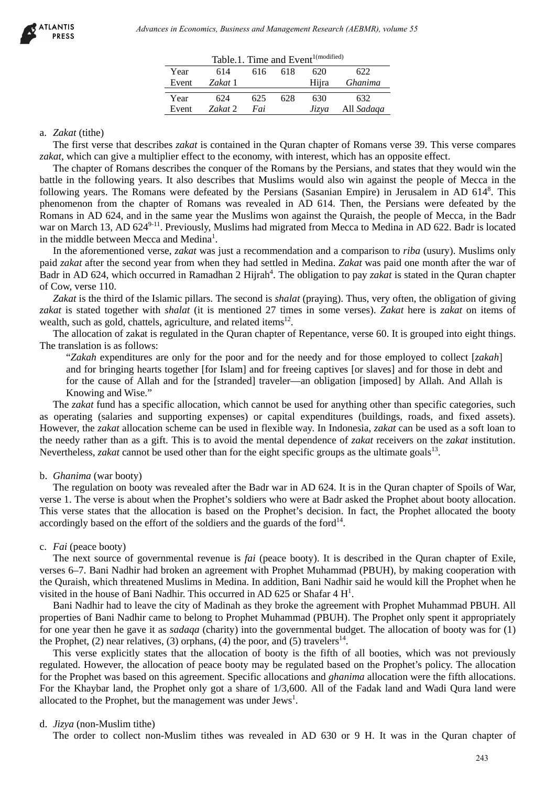|  |  | Table.1. Time and Event <sup>1(modified)</sup> |
|--|--|------------------------------------------------|
|  |  |                                                |

| Year<br>Event | 614<br>Zakat 1 | 616 | 618 | 620<br>Hijra | 622<br>Ghanima |
|---------------|----------------|-----|-----|--------------|----------------|
| Year          | 624            | 625 | 628 | 630          | 632            |
| Event         | Zakat 2        | Fai |     | Jizya        | All Sadaqa     |

## a. *Zakat* (tithe)

The first verse that describes *zakat* is contained in the Quran chapter of Romans verse 39. This verse compares *zakat*, which can give a multiplier effect to the economy, with interest, which has an opposite effect.

The chapter of Romans describes the conquer of the Romans by the Persians, and states that they would win the battle in the following years. It also describes that Muslims would also win against the people of Mecca in the following years. The Romans were defeated by the Persians (Sasanian Empire) in Jerusalem in AD 6148. This phenomenon from the chapter of Romans was revealed in AD 614. Then, the Persians were defeated by the Romans in AD 624, and in the same year the Muslims won against the Quraish, the people of Mecca, in the Badr war on March 13, AD 624<sup>9-11</sup>. Previously, Muslims had migrated from Mecca to Medina in AD 622. Badr is located in the middle between Mecca and Medina<sup>1</sup>. debiases in Economics, Business and Management Research (AEBMR), volume 53<br>
Year and 14 Chef and 15 Chef and 16 Chef and 200<br>
Year and 14 Chef and 200<br>
Year 26481 Latting and 16 Chef and 200<br>
Year 26481 Latting and 16 Chef

In the aforementioned verse, *zakat* was just a recommendation and a comparison to *riba* (usury). Muslims only paid *zakat* after the second year from when they had settled in Medina. *Zakat* was paid one month after the war of Badr in AD 624, which occurred in Ramadhan 2 Hijrah<sup>4</sup>. The obligation to pay *zakat* is stated in the Quran chapter of Cow, verse 110.

*Zakat* is the third of the Islamic pillars. The second is *shalat* (praying). Thus, very often, the obligation of giving *zakat* is stated together with *shalat* (it is mentioned 27 times in some verses). *Zakat* here is *zakat* on items of wealth, such as gold, chattels, agriculture, and related items<sup>12</sup>.

The allocation of zakat is regulated in the Quran chapter of Repentance, verse 60. It is grouped into eight things. The translation is as follows:

"*Zakah* expenditures are only for the poor and for the needy and for those employed to collect [*zakah*] and for bringing hearts together [for Islam] and for freeing captives [or slaves] and for those in debt and for the cause of Allah and for the [stranded] traveler—an obligation [imposed] by Allah. And Allah is Knowing and Wise."

The *zakat* fund has a specific allocation, which cannot be used for anything other than specific categories, such as operating (salaries and supporting expenses) or capital expenditures (buildings, roads, and fixed assets). However, the *zakat* allocation scheme can be used in flexible way. In Indonesia, *zakat* can be used as a soft loan to the needy rather than as a gift. This is to avoid the mental dependence of *zakat* receivers on the *zakat* institution. Nevertheless, *zakat* cannot be used other than for the eight specific groups as the ultimate goals<sup>13</sup>.

## b. *Ghanima* (war booty)

The regulation on booty was revealed after the Badr war in AD 624. It is in the Quran chapter of Spoils of War, verse 1. The verse is about when the Prophet's soldiers who were at Badr asked the Prophet about booty allocation. This verse states that the allocation is based on the Prophet's decision. In fact, the Prophet allocated the booty accordingly based on the effort of the soldiers and the guards of the ford $14$ .

# c. *Fai* (peace booty)

The next source of governmental revenue is *fai* (peace booty). It is described in the Quran chapter of Exile, verses 6–7. Bani Nadhir had broken an agreement with Prophet Muhammad (PBUH), by making cooperation with the Quraish, which threatened Muslims in Medina. In addition, Bani Nadhir said he would kill the Prophet when he visited in the house of Bani Nadhir. This occurred in AD 625 or Shafar  $4 H<sup>1</sup>$ .

Bani Nadhir had to leave the city of Madinah as they broke the agreement with Prophet Muhammad PBUH. All properties of Bani Nadhir came to belong to Prophet Muhammad (PBUH). The Prophet only spent it appropriately for one year then he gave it as *sadaqa* (charity) into the governmental budget. The allocation of booty was for (1) the Prophet, (2) near relatives, (3) orphans, (4) the poor, and (5) travelers<sup>14</sup>.

This verse explicitly states that the allocation of booty is the fifth of all booties, which was not previously regulated. However, the allocation of peace booty may be regulated based on the Prophet's policy. The allocation for the Prophet was based on this agreement. Specific allocations and *ghanima* allocation were the fifth allocations. For the Khaybar land, the Prophet only got a share of 1/3,600. All of the Fadak land and Wadi Qura land were allocated to the Prophet, but the management was under  $Jews<sup>1</sup>$ .

# d. *Jizya* (non-Muslim tithe)

The order to collect non-Muslim tithes was revealed in AD 630 or 9 H. It was in the Quran chapter of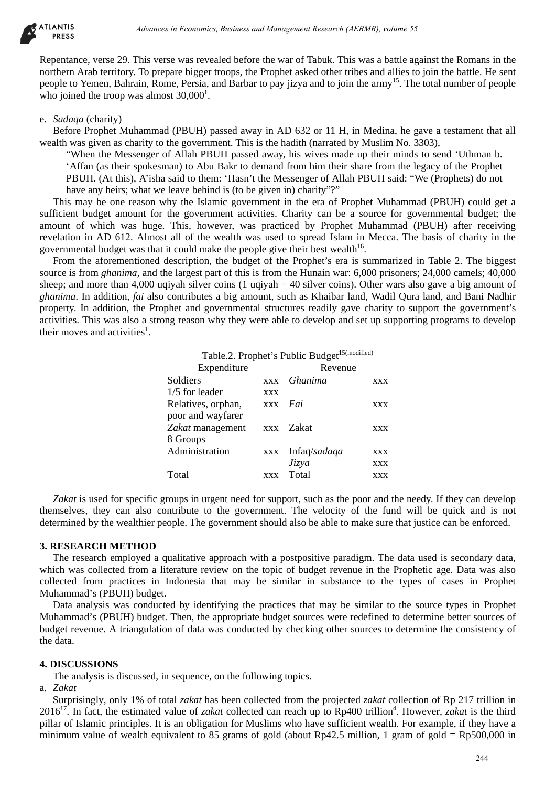

Repentance, verse 29. This verse was revealed before the war of Tabuk. This was a battle against the Romans in the northern Arab territory. To prepare bigger troops, the Prophet asked other tribes and allies to join the battle. He sent people to Yemen, Bahrain, Rome, Persia, and Barbar to pay jizya and to join the army15. The total number of people who joined the troop was almost  $30,000<sup>1</sup>$ .

# e. *Sadaqa* (charity)

Before Prophet Muhammad (PBUH) passed away in AD 632 or 11 H, in Medina, he gave a testament that all wealth was given as charity to the government. This is the hadith (narrated by Muslim No. 3303),

"When the Messenger of Allah PBUH passed away, his wives made up their minds to send 'Uthman b. 'Affan (as their spokesman) to Abu Bakr to demand from him their share from the legacy of the Prophet PBUH. (At this), A'isha said to them: 'Hasn't the Messenger of Allah PBUH said: "We (Prophets) do not have any heirs; what we leave behind is (to be given in) charity"?"

This may be one reason why the Islamic government in the era of Prophet Muhammad (PBUH) could get a sufficient budget amount for the government activities. Charity can be a source for governmental budget; the amount of which was huge. This, however, was practiced by Prophet Muhammad (PBUH) after receiving revelation in AD 612. Almost all of the wealth was used to spread Islam in Mecca. The basis of charity in the governmental budget was that it could make the people give their best wealth $16$ .

From the aforementioned description, the budget of the Prophet's era is summarized in Table 2. The biggest source is from *ghanima*, and the largest part of this is from the Hunain war: 6,000 prisoners; 24,000 camels; 40,000 sheep; and more than 4,000 uqiyah silver coins (1 uqiyah = 40 silver coins). Other wars also gave a big amount of *ghanima*. In addition, *fai* also contributes a big amount, such as Khaibar land, Wadil Qura land, and Bani Nadhir property. In addition, the Prophet and governmental structures readily gave charity to support the government's activities. This was also a strong reason why they were able to develop and set up supporting programs to develop their moves and activities<sup>1</sup>. *Advances in Economics, Busines and Management Research (AEBMR), volume 55*<br>
This was we see the colled heliver the war of Table. This was a hall eigenist in Figure and Herman Trip puppe higger from the Business and Depart

| Expenditure        | Revenue    |              |            |  |  |  |  |  |
|--------------------|------------|--------------|------------|--|--|--|--|--|
| Soldiers           | <b>XXX</b> | Ghanima      | xxx        |  |  |  |  |  |
| $1/5$ for leader   | XXX        |              |            |  |  |  |  |  |
| Relatives, orphan, | <b>XXX</b> | Fai          | XXX        |  |  |  |  |  |
| poor and wayfarer  |            |              |            |  |  |  |  |  |
| Zakat management   |            | xxx Zakat    | <b>XXX</b> |  |  |  |  |  |
| 8 Groups           |            |              |            |  |  |  |  |  |
| Administration     | <b>XXX</b> | Infaq/sadaqa | <b>XXX</b> |  |  |  |  |  |
|                    |            | Jizya        | <b>XXX</b> |  |  |  |  |  |
| Total              | <b>XXX</b> | Total        | <b>XXX</b> |  |  |  |  |  |

Table.2. Prophet's Public Budget<sup>15(modified)</sup>

*Zakat* is used for specific groups in urgent need for support, such as the poor and the needy. If they can develop themselves, they can also contribute to the government. The velocity of the fund will be quick and is not determined by the wealthier people. The government should also be able to make sure that justice can be enforced.

# **3. RESEARCH METHOD**

The research employed a qualitative approach with a postpositive paradigm. The data used is secondary data, which was collected from a literature review on the topic of budget revenue in the Prophetic age. Data was also collected from practices in Indonesia that may be similar in substance to the types of cases in Prophet Muhammad's (PBUH) budget.

Data analysis was conducted by identifying the practices that may be similar to the source types in Prophet Muhammad's (PBUH) budget. Then, the appropriate budget sources were redefined to determine better sources of budget revenue. A triangulation of data was conducted by checking other sources to determine the consistency of the data.

## **4. DISCUSSIONS**

The analysis is discussed, in sequence, on the following topics.

a. *Zakat*

Surprisingly, only 1% of total *zakat* has been collected from the projected *zakat* collection of Rp 217 trillion in  $2016^{17}$ . In fact, the estimated value of *zakat* collected can reach up to Rp400 trillion<sup>4</sup>. However, *zakat* is the third pillar of Islamic principles. It is an obligation for Muslims who have sufficient wealth. For example, if they have a minimum value of wealth equivalent to 85 grams of gold (about Rp42.5 million, 1 gram of gold = Rp500,000 in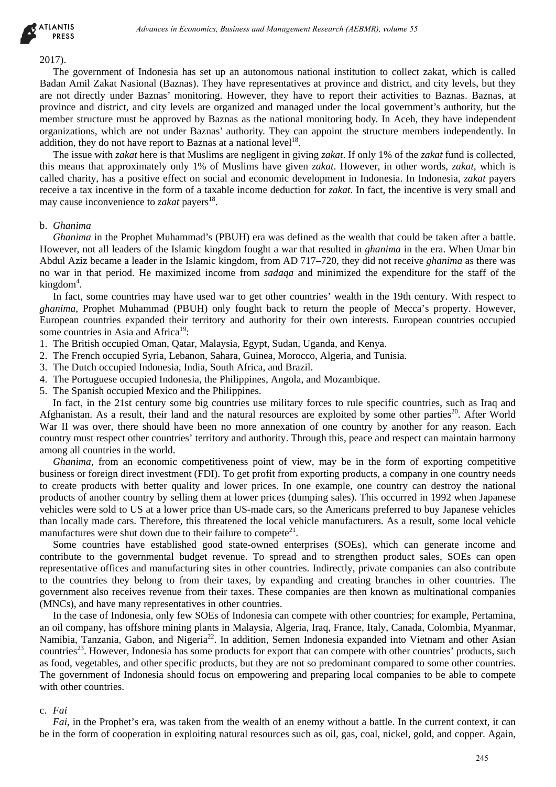

#### 2017).

The government of Indonesia has set up an autonomous national institution to collect zakat, which is called Badan Amil Zakat Nasional (Baznas). They have representatives at province and district, and city levels, but they are not directly under Baznas' monitoring. However, they have to report their activities to Baznas. Baznas, at province and district, and city levels are organized and managed under the local government's authority, but the member structure must be approved by Baznas as the national monitoring body. In Aceh, they have independent organizations, which are not under Baznas' authority. They can appoint the structure members independently. In addition, they do not have report to Baznas at a national level<sup>18</sup>. *Advances in Economics, Business and Management Research (AEBMR), volume 53*<br>
Tradenticial Glearant). They have exponentive at provide can dedicate, and city between the small Glearant Theoretical Glearant Theoretical Glea

The issue with *zakat* here is that Muslims are negligent in giving *zakat*. If only 1% of the *zakat* fund is collected, this means that approximately only 1% of Muslims have given *zakat*. However, in other words, *zakat*, which is called charity, has a positive effect on social and economic development in Indonesia. In Indonesia, *zakat* payers receive a tax incentive in the form of a taxable income deduction for *zakat*. In fact, the incentive is very small and may cause inconvenience to *zakat* payers<sup>18</sup>.

## b. *Ghanima*

*Ghanima* in the Prophet Muhammad's (PBUH) era was defined as the wealth that could be taken after a battle. However, not all leaders of the Islamic kingdom fought a war that resulted in *ghanima* in the era. When Umar bin Abdul Aziz became a leader in the Islamic kingdom, from AD 717–720, they did not receive *ghanima* as there was no war in that period. He maximized income from *sadaqa* and minimized the expenditure for the staff of the kingdom<sup>4</sup>.

In fact, some countries may have used war to get other countries' wealth in the 19th century. With respect to *ghanima*, Prophet Muhammad (PBUH) only fought back to return the people of Mecca's property. However, European countries expanded their territory and authority for their own interests. European countries occupied some countries in Asia and Africa<sup>19</sup>:

- 1. The British occupied Oman, Qatar, Malaysia, Egypt, Sudan, Uganda, and Kenya.
- 2. The French occupied Syria, Lebanon, Sahara, Guinea, Morocco, Algeria, and Tunisia.
- 3. The Dutch occupied Indonesia, India, South Africa, and Brazil.
- 4. The Portuguese occupied Indonesia, the Philippines, Angola, and Mozambique.
- 5. The Spanish occupied Mexico and the Philippines.

In fact, in the 21st century some big countries use military forces to rule specific countries, such as Iraq and Afghanistan. As a result, their land and the natural resources are exploited by some other parties<sup>20</sup>. After World War II was over, there should have been no more annexation of one country by another for any reason. Each country must respect other countries' territory and authority. Through this, peace and respect can maintain harmony among all countries in the world.

*Ghanima*, from an economic competitiveness point of view, may be in the form of exporting competitive business or foreign direct investment (FDI). To get profit from exporting products, a company in one country needs to create products with better quality and lower prices. In one example, one country can destroy the national products of another country by selling them at lower prices (dumping sales). This occurred in 1992 when Japanese vehicles were sold to US at a lower price than US-made cars, so the Americans preferred to buy Japanese vehicles than locally made cars. Therefore, this threatened the local vehicle manufacturers. As a result, some local vehicle manufactures were shut down due to their failure to compete<sup>21</sup>.

Some countries have established good state-owned enterprises (SOEs), which can generate income and contribute to the governmental budget revenue. To spread and to strengthen product sales, SOEs can open representative offices and manufacturing sites in other countries. Indirectly, private companies can also contribute to the countries they belong to from their taxes, by expanding and creating branches in other countries. The government also receives revenue from their taxes. These companies are then known as multinational companies (MNCs), and have many representatives in other countries.

In the case of Indonesia, only few SOEs of Indonesia can compete with other countries; for example, Pertamina, an oil company, has offshore mining plants in Malaysia, Algeria, Iraq, France, Italy, Canada, Colombia, Myanmar, Namibia, Tanzania, Gabon, and Nigeria<sup>22</sup>. In addition, Semen Indonesia expanded into Vietnam and other Asian countries<sup>23</sup>. However, Indonesia has some products for export that can compete with other countries' products, such as food, vegetables, and other specific products, but they are not so predominant compared to some other countries. The government of Indonesia should focus on empowering and preparing local companies to be able to compete with other countries.

## c. *Fai*

*Fai*, in the Prophet's era, was taken from the wealth of an enemy without a battle. In the current context, it can be in the form of cooperation in exploiting natural resources such as oil, gas, coal, nickel, gold, and copper. Again,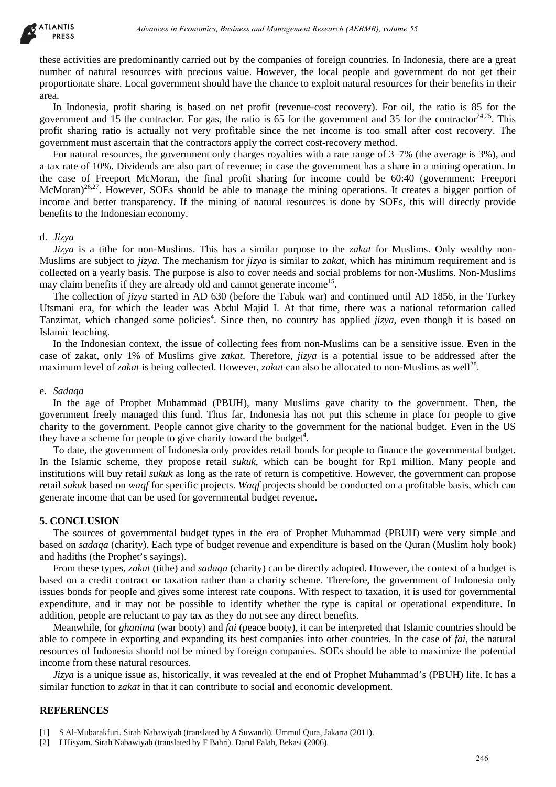

these activities are predominantly carried out by the companies of foreign countries. In Indonesia, there are a great number of natural resources with precious value. However, the local people and government do not get their proportionate share. Local government should have the chance to exploit natural resources for their benefits in their area.

In Indonesia, profit sharing is based on net profit (revenue-cost recovery). For oil, the ratio is 85 for the government and 15 the contractor. For gas, the ratio is 65 for the government and 35 for the contractor $24.25$ . This profit sharing ratio is actually not very profitable since the net income is too small after cost recovery. The government must ascertain that the contractors apply the correct cost-recovery method.

For natural resources, the government only charges royalties with a rate range of 3–7% (the average is 3%), and a tax rate of 10%. Dividends are also part of revenue; in case the government has a share in a mining operation. In the case of Freeport McMoran, the final profit sharing for income could be 60:40 (government: Freeport McMoran)<sup>26,27</sup>. However, SOEs should be able to manage the mining operations. It creates a bigger portion of income and better transparency. If the mining of natural resources is done by SOEs, this will directly provide benefits to the Indonesian economy. drieses in Economics, Business and Management Research (AEBMR), volume 53<br>
Aurison in Europa and Management Advances of Coreja controls. In Indonesia, then are<br>
hurrichies yields controlled have the chance to exploit natur

#### d. *Jizya*

*Jizya* is a tithe for non-Muslims. This has a similar purpose to the *zakat* for Muslims. Only wealthy non-Muslims are subject to *jizya*. The mechanism for *jizya* is similar to *zakat*, which has minimum requirement and is collected on a yearly basis. The purpose is also to cover needs and social problems for non-Muslims. Non-Muslims may claim benefits if they are already old and cannot generate income<sup>15</sup>.

The collection of *jizya* started in AD 630 (before the Tabuk war) and continued until AD 1856, in the Turkey Utsmani era, for which the leader was Abdul Majid I. At that time, there was a national reformation called Tanzimat, which changed some policies<sup>4</sup>. Since then, no country has applied *jizya*, even though it is based on Islamic teaching.

In the Indonesian context, the issue of collecting fees from non-Muslims can be a sensitive issue. Even in the case of zakat, only 1% of Muslims give *zakat*. Therefore, *jizya* is a potential issue to be addressed after the maximum level of *zakat* is being collected. However, *zakat* can also be allocated to non-Muslims as well<sup>28</sup>.

#### e. *Sadaqa*

In the age of Prophet Muhammad (PBUH), many Muslims gave charity to the government. Then, the government freely managed this fund. Thus far, Indonesia has not put this scheme in place for people to give charity to the government. People cannot give charity to the government for the national budget. Even in the US they have a scheme for people to give charity toward the budget<sup>4</sup>.

To date, the government of Indonesia only provides retail bonds for people to finance the governmental budget. In the Islamic scheme, they propose retail *sukuk*, which can be bought for Rp1 million. Many people and institutions will buy retail *sukuk* as long as the rate of return is competitive. However, the government can propose retail *sukuk* based on *waqf* for specific projects. *Waqf* projects should be conducted on a profitable basis, which can generate income that can be used for governmental budget revenue.

## **5. CONCLUSION**

The sources of governmental budget types in the era of Prophet Muhammad (PBUH) were very simple and based on *sadaqa* (charity). Each type of budget revenue and expenditure is based on the Quran (Muslim holy book) and hadiths (the Prophet's sayings).

From these types, *zakat* (tithe) and *sadaqa* (charity) can be directly adopted. However, the context of a budget is based on a credit contract or taxation rather than a charity scheme. Therefore, the government of Indonesia only issues bonds for people and gives some interest rate coupons. With respect to taxation, it is used for governmental expenditure, and it may not be possible to identify whether the type is capital or operational expenditure. In addition, people are reluctant to pay tax as they do not see any direct benefits.

Meanwhile, for *ghanima* (war booty) and *fai* (peace booty), it can be interpreted that Islamic countries should be able to compete in exporting and expanding its best companies into other countries. In the case of *fai*, the natural resources of Indonesia should not be mined by foreign companies. SOEs should be able to maximize the potential income from these natural resources.

*Jizya* is a unique issue as, historically, it was revealed at the end of Prophet Muhammad's (PBUH) life. It has a similar function to *zakat* in that it can contribute to social and economic development.

## **REFERENCES**

- [1] S Al-Mubarakfuri. Sirah Nabawiyah (translated by A Suwandi). Ummul Qura, Jakarta (2011).
- [2] I Hisyam. Sirah Nabawiyah (translated by F Bahri). Darul Falah, Bekasi (2006).